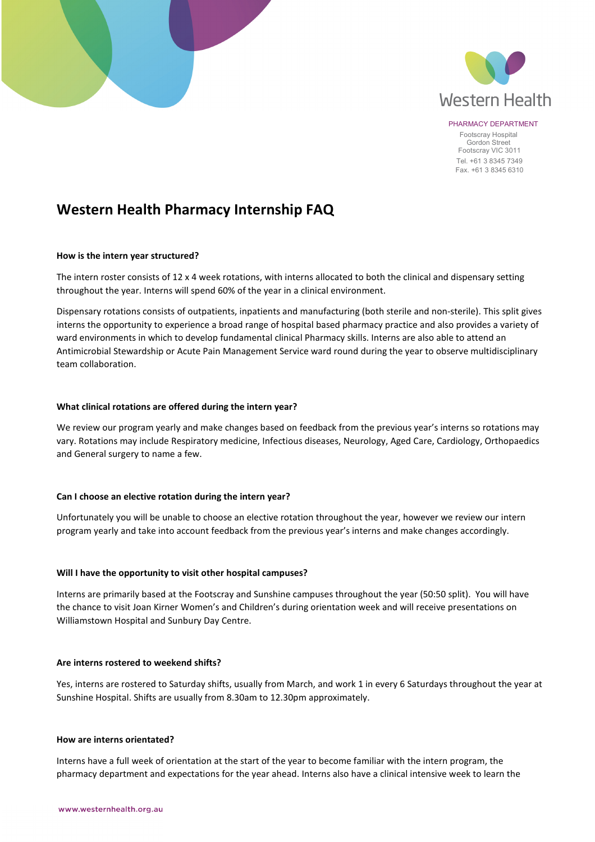

PHARMACY DEPARTMENT Footscray Hospital Gordon Street Footscray VIC 3011 Tel. +61 3 8345 7349 Fax. +61 3 8345 6310

# **Western Health Pharmacy Internship FAQ**

## **How is the intern year structured?**

The intern roster consists of 12 x 4 week rotations, with interns allocated to both the clinical and dispensary setting throughout the year. Interns will spend 60% of the year in a clinical environment.

Dispensary rotations consists of outpatients, inpatients and manufacturing (both sterile and non-sterile). This split gives interns the opportunity to experience a broad range of hospital based pharmacy practice and also provides a variety of ward environments in which to develop fundamental clinical Pharmacy skills. Interns are also able to attend an Antimicrobial Stewardship or Acute Pain Management Service ward round during the year to observe multidisciplinary team collaboration.

## **What clinical rotations are offered during the intern year?**

We review our program yearly and make changes based on feedback from the previous year's interns so rotations may vary. Rotations may include Respiratory medicine, Infectious diseases, Neurology, Aged Care, Cardiology, Orthopaedics and General surgery to name a few.

## **Can I choose an elective rotation during the intern year?**

Unfortunately you will be unable to choose an elective rotation throughout the year, however we review our intern program yearly and take into account feedback from the previous year's interns and make changes accordingly.

## **Will I have the opportunity to visit other hospital campuses?**

Interns are primarily based at the Footscray and Sunshine campuses throughout the year (50:50 split). You will have the chance to visit Joan Kirner Women's and Children's during orientation week and will receive presentations on Williamstown Hospital and Sunbury Day Centre.

## **Are interns rostered to weekend shifts?**

Yes, interns are rostered to Saturday shifts, usually from March, and work 1 in every 6 Saturdays throughout the year at Sunshine Hospital. Shifts are usually from 8.30am to 12.30pm approximately.

## **How are interns orientated?**

Interns have a full week of orientation at the start of the year to become familiar with the intern program, the pharmacy department and expectations for the year ahead. Interns also have a clinical intensive week to learn the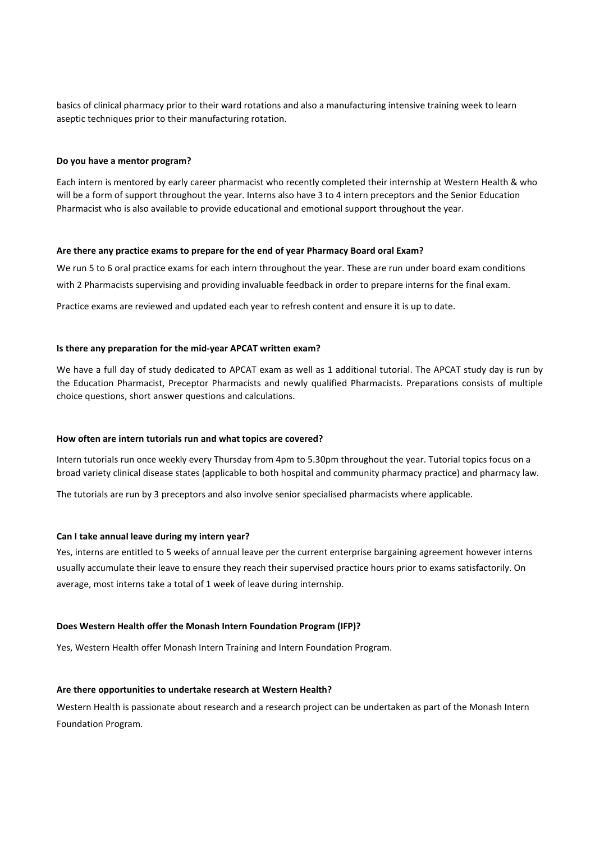basics of clinical pharmacy prior to their ward rotations and also a manufacturing intensive training week to learn aseptic techniques prior to their manufacturing rotation.

### **Do you have a mentor program?**

Each intern is mentored by early career pharmacist who recently completed their internship at Western Health & who will be a form of support throughout the year. Interns also have 3 to 4 intern preceptors and the Senior Education Pharmacist who is also available to provide educational and emotional support throughout the year.

#### **Are there any practice exams to prepare for the end of year Pharmacy Board oral Exam?**

We run 5 to 6 oral practice exams for each intern throughout the year. These are run under board exam conditions with 2 Pharmacists supervising and providing invaluable feedback in order to prepare interns for the final exam.

Practice exams are reviewed and updated each year to refresh content and ensure it is up to date.

## **Is there any preparation for the mid-year APCAT written exam?**

We have a full day of study dedicated to APCAT exam as well as 1 additional tutorial. The APCAT study day is run by the Education Pharmacist, Preceptor Pharmacists and newly qualified Pharmacists. Preparations consists of multiple choice questions, short answer questions and calculations.

#### **How often are intern tutorials run and what topics are covered?**

Intern tutorials run once weekly every Thursday from 4pm to 5.30pm throughout the year. Tutorial topics focus on a broad variety clinical disease states (applicable to both hospital and community pharmacy practice) and pharmacy law.

The tutorials are run by 3 preceptors and also involve senior specialised pharmacists where applicable.

#### **Can I take annual leave during my intern year?**

Yes, interns are entitled to 5 weeks of annual leave per the current enterprise bargaining agreement however interns usually accumulate their leave to ensure they reach their supervised practice hours prior to exams satisfactorily. On average, most interns take a total of 1 week of leave during internship.

#### **Does Western Health offer the Monash Intern Foundation Program (IFP)?**

Yes, Western Health offer Monash Intern Training and Intern Foundation Program.

#### **Are there opportunities to undertake research at Western Health?**

Western Health is passionate about research and a research project can be undertaken as part of the Monash Intern Foundation Program.